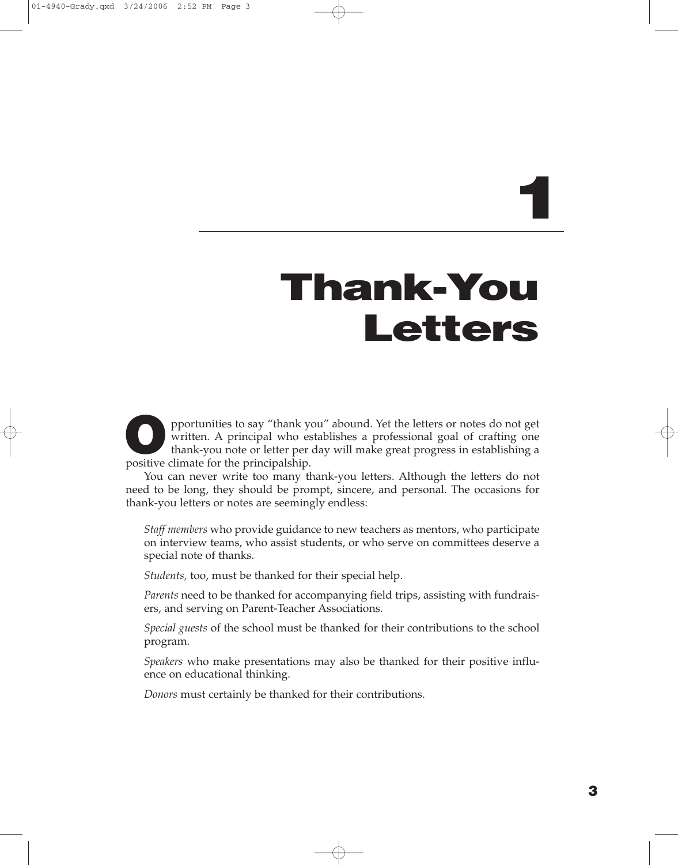# **1**

# **Thank-You Letters**

pportunities to say "thank you" abound. Yet the letters or notes do not get written. A principal who establishes a professional goal of crafting one thank-you note or letter per day will make great progress in establishing a positive climate for the principalship.

You can never write too many thank-you letters. Although the letters do not need to be long, they should be prompt, sincere, and personal. The occasions for thank-you letters or notes are seemingly endless:

*Staff members* who provide guidance to new teachers as mentors, who participate on interview teams, who assist students, or who serve on committees deserve a special note of thanks.

*Students,* too, must be thanked for their special help.

*Parents* need to be thanked for accompanying field trips, assisting with fundraisers, and serving on Parent-Teacher Associations.

*Special guests* of the school must be thanked for their contributions to the school program.

*Speakers* who make presentations may also be thanked for their positive influence on educational thinking.

*Donors* must certainly be thanked for their contributions.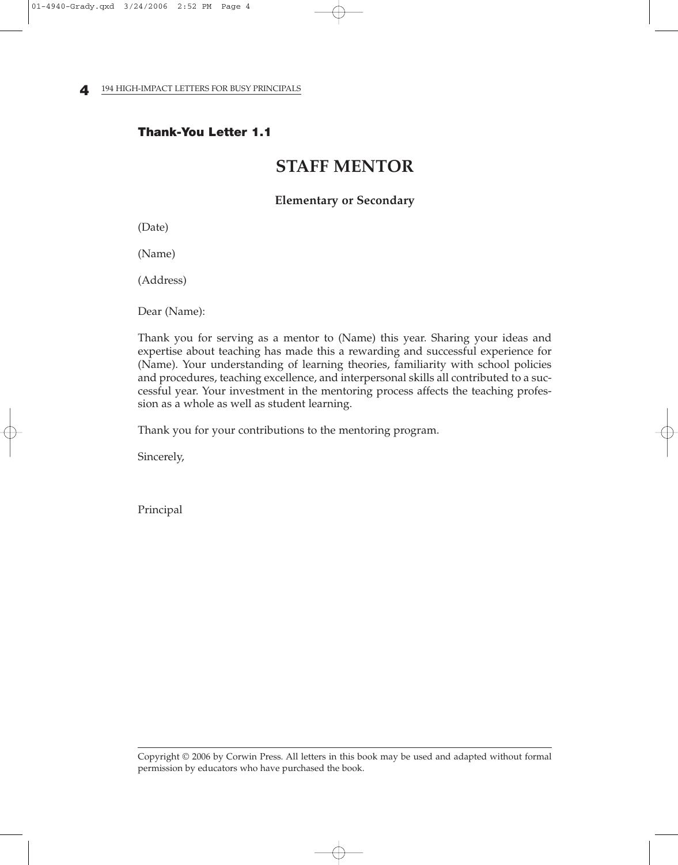**4** 194 HIGH-IMPACT LETTERS FOR BUSY PRINCIPALS

#### **Thank-You Letter 1.1**

# **STAFF MENTOR**

#### **Elementary or Secondary**

(Date)

(Name)

(Address)

Dear (Name):

Thank you for serving as a mentor to (Name) this year. Sharing your ideas and expertise about teaching has made this a rewarding and successful experience for (Name). Your understanding of learning theories, familiarity with school policies and procedures, teaching excellence, and interpersonal skills all contributed to a successful year. Your investment in the mentoring process affects the teaching profession as a whole as well as student learning.

Thank you for your contributions to the mentoring program.

Sincerely,

Principal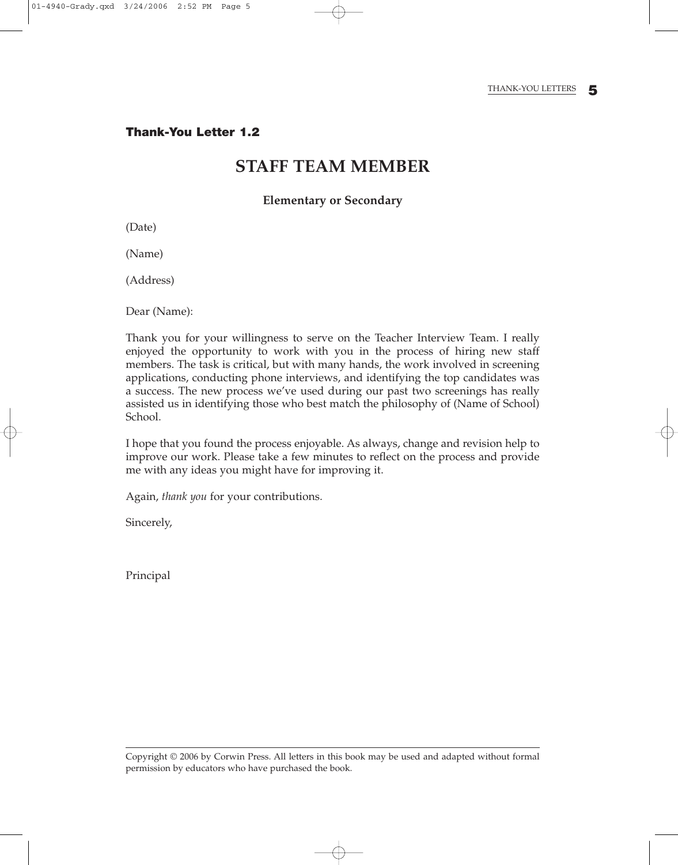### **STAFF TEAM MEMBER**

**Elementary or Secondary**

(Date)

(Name)

(Address)

Dear (Name):

Thank you for your willingness to serve on the Teacher Interview Team. I really enjoyed the opportunity to work with you in the process of hiring new staff members. The task is critical, but with many hands, the work involved in screening applications, conducting phone interviews, and identifying the top candidates was a success. The new process we've used during our past two screenings has really assisted us in identifying those who best match the philosophy of (Name of School) School.

I hope that you found the process enjoyable. As always, change and revision help to improve our work. Please take a few minutes to reflect on the process and provide me with any ideas you might have for improving it.

Again, *thank you* for your contributions.

Sincerely,

Principal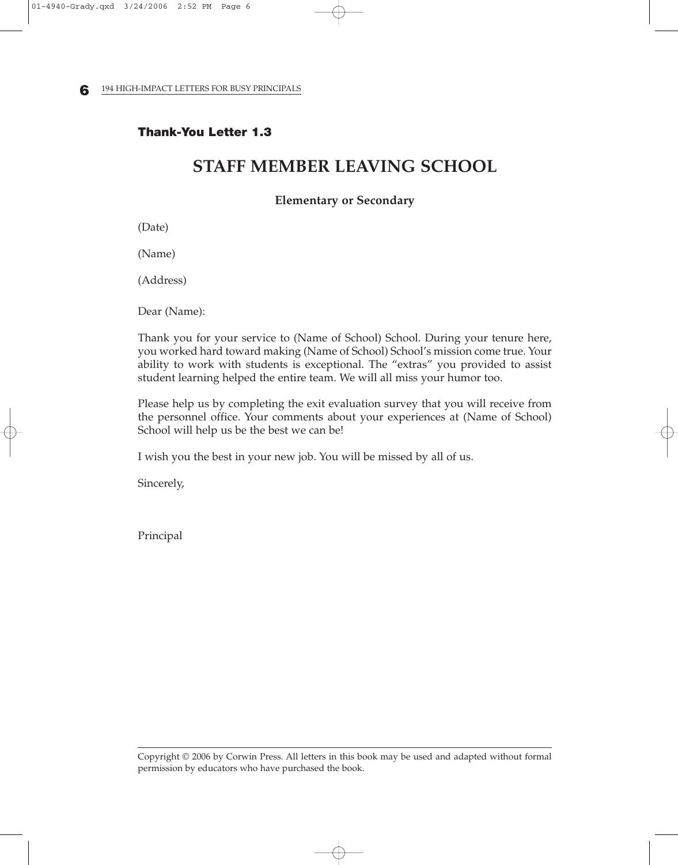**6** 194 HIGH-IMPACT LETTERS FOR BUSY PRINCIPALS

#### **Thank-You Letter 1.3**

# **STAFF MEMBER LEAVING SCHOOL**

#### **Elementary or Secondary**

(Date)

(Name)

(Address)

Dear (Name):

Thank you for your service to (Name of School) School. During your tenure here, you worked hard toward making (Name of School) School's mission come true. Your ability to work with students is exceptional. The "extras" you provided to assist student learning helped the entire team. We will all miss your humor too.

Please help us by completing the exit evaluation survey that you will receive from the personnel office. Your comments about your experiences at (Name of School) School will help us be the best we can be!

I wish you the best in your new job. You will be missed by all of us.

Sincerely,

Principal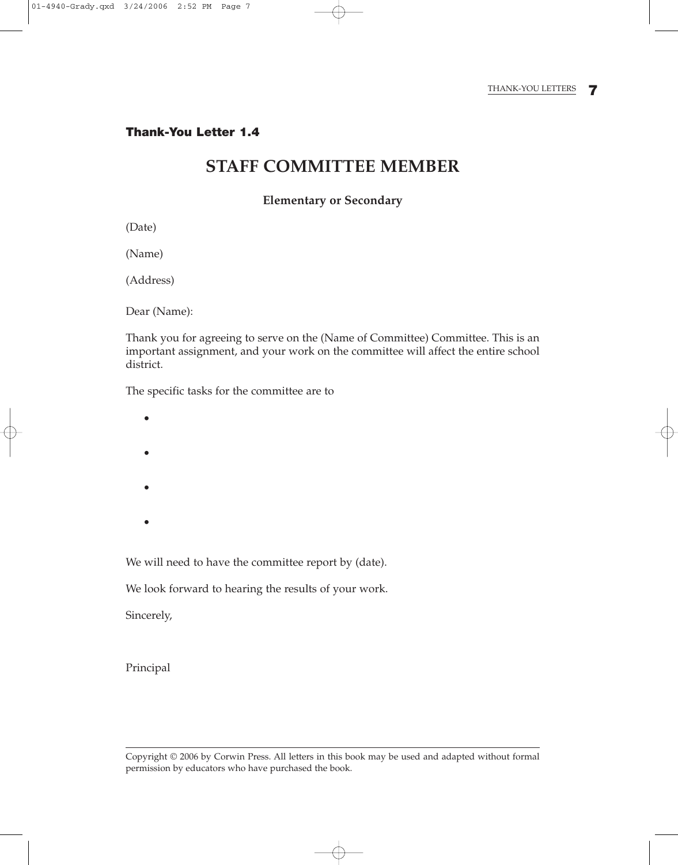# **STAFF COMMITTEE MEMBER**

#### **Elementary or Secondary**

(Date)

(Name)

(Address)

Dear (Name):

Thank you for agreeing to serve on the (Name of Committee) Committee. This is an important assignment, and your work on the committee will affect the entire school district.

The specific tasks for the committee are to

- •
- •
- 
- •
- •

We will need to have the committee report by (date).

We look forward to hearing the results of your work.

Sincerely,

Principal

 $\oplus$ 

Copyright © 2006 by Corwin Press. All letters in this book may be used and adapted without formal permission by educators who have purchased the book.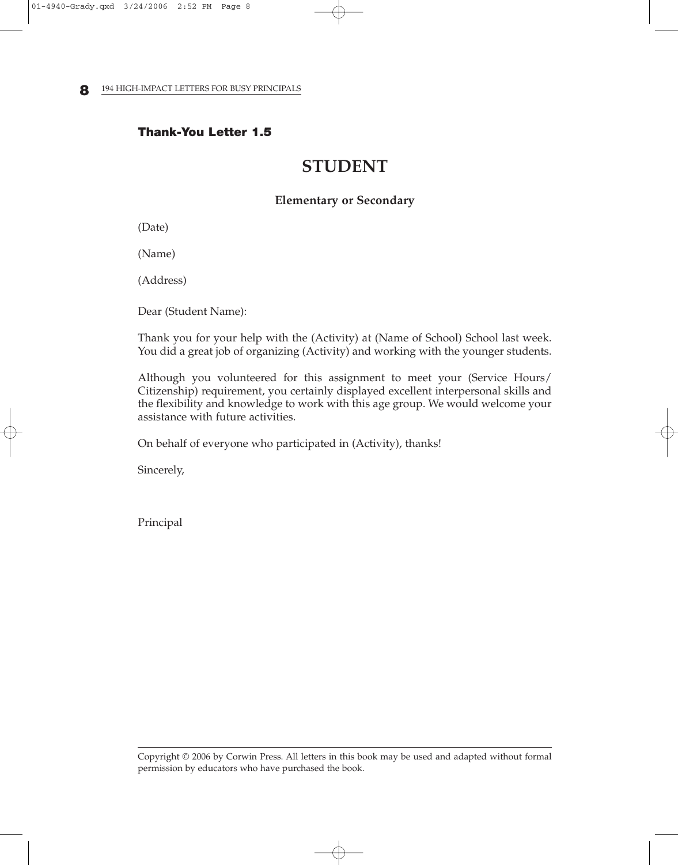**8** 194 HIGH-IMPACT LETTERS FOR BUSY PRINCIPALS

#### **Thank-You Letter 1.5**

# **STUDENT**

#### **Elementary or Secondary**

(Date)

(Name)

(Address)

Dear (Student Name):

Thank you for your help with the (Activity) at (Name of School) School last week. You did a great job of organizing (Activity) and working with the younger students.

Although you volunteered for this assignment to meet your (Service Hours/ Citizenship) requirement, you certainly displayed excellent interpersonal skills and the flexibility and knowledge to work with this age group. We would welcome your assistance with future activities.

On behalf of everyone who participated in (Activity), thanks!

Sincerely,

Principal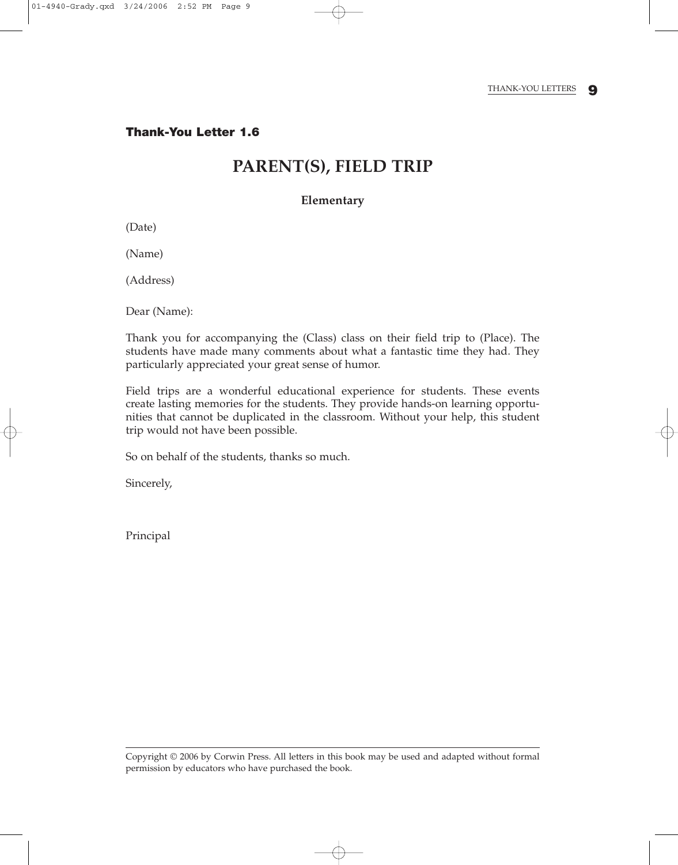# **PARENT(S), FIELD TRIP**

#### **Elementary**

(Date)

(Name)

(Address)

Dear (Name):

Thank you for accompanying the (Class) class on their field trip to (Place). The students have made many comments about what a fantastic time they had. They particularly appreciated your great sense of humor.

Field trips are a wonderful educational experience for students. These events create lasting memories for the students. They provide hands-on learning opportunities that cannot be duplicated in the classroom. Without your help, this student trip would not have been possible.

So on behalf of the students, thanks so much.

Sincerely,

Principal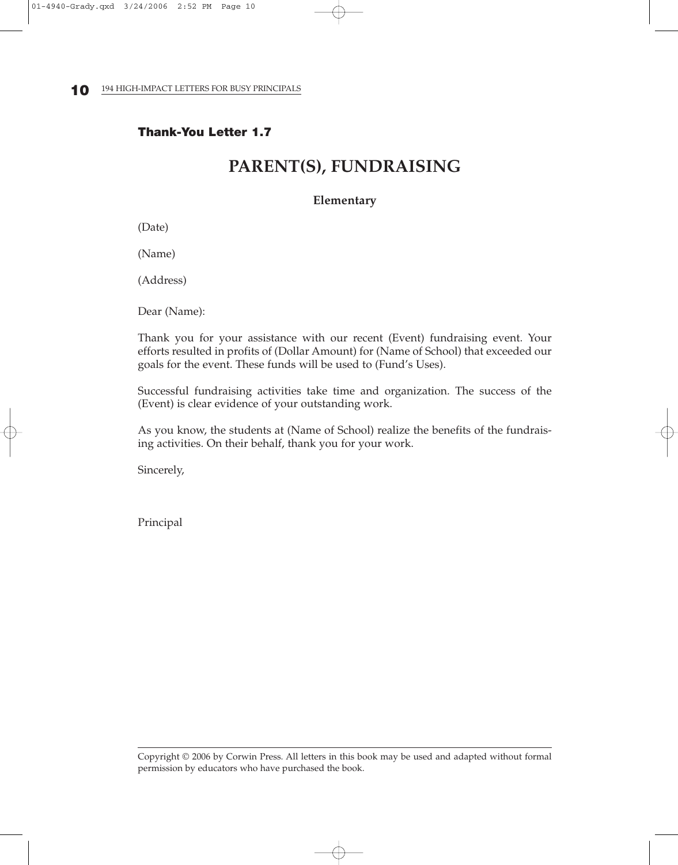#### **Thank-You Letter 1.7**

# **PARENT(S), FUNDRAISING**

#### **Elementary**

(Date)

(Name)

(Address)

Dear (Name):

Thank you for your assistance with our recent (Event) fundraising event. Your efforts resulted in profits of (Dollar Amount) for (Name of School) that exceeded our goals for the event. These funds will be used to (Fund's Uses).

Successful fundraising activities take time and organization. The success of the (Event) is clear evidence of your outstanding work.

As you know, the students at (Name of School) realize the benefits of the fundraising activities. On their behalf, thank you for your work.

Sincerely,

Principal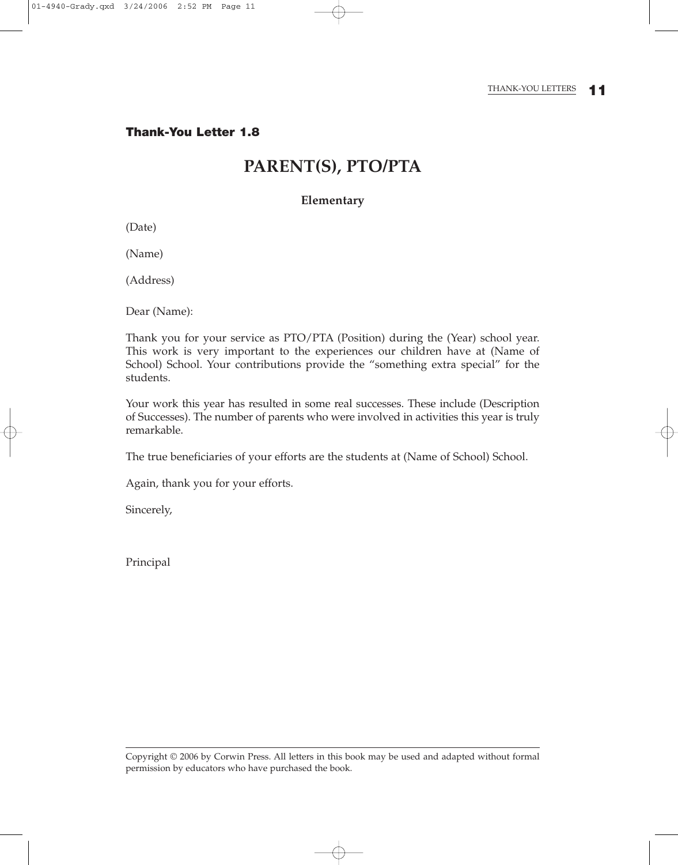#### THANK-YOU LETTERS **11**

**Thank-You Letter 1.8**

# **PARENT(S), PTO/PTA**

#### **Elementary**

(Date)

(Name)

(Address)

Dear (Name):

Thank you for your service as PTO/PTA (Position) during the (Year) school year. This work is very important to the experiences our children have at (Name of School) School. Your contributions provide the "something extra special" for the students.

Your work this year has resulted in some real successes. These include (Description of Successes). The number of parents who were involved in activities this year is truly remarkable.

The true beneficiaries of your efforts are the students at (Name of School) School.

Again, thank you for your efforts.

Sincerely,

Principal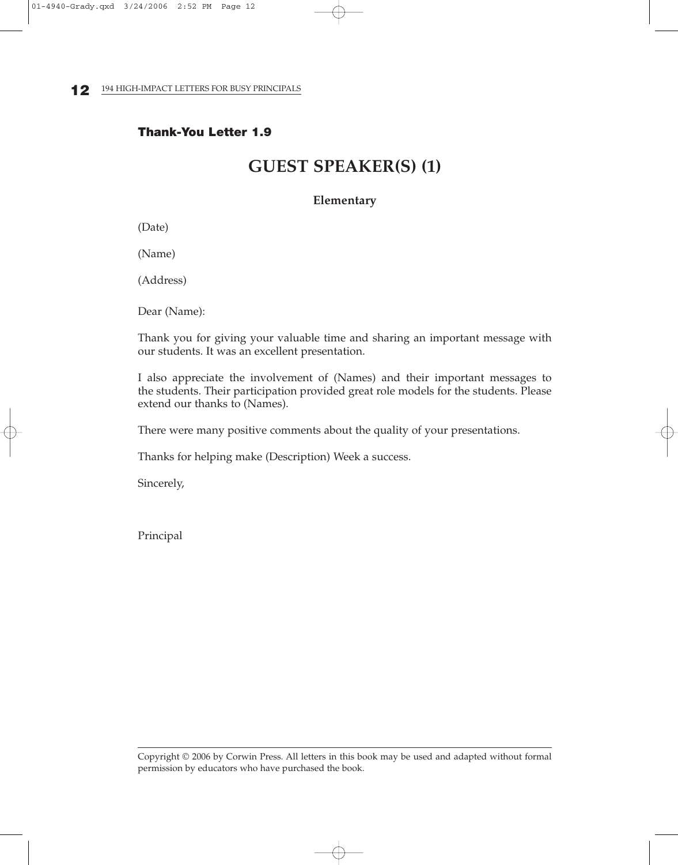#### **Thank-You Letter 1.9**

# **GUEST SPEAKER(S) (1)**

#### **Elementary**

(Date)

(Name)

(Address)

Dear (Name):

Thank you for giving your valuable time and sharing an important message with our students. It was an excellent presentation.

I also appreciate the involvement of (Names) and their important messages to the students. Their participation provided great role models for the students. Please extend our thanks to (Names).

There were many positive comments about the quality of your presentations.

Thanks for helping make (Description) Week a success.

Sincerely,

Principal

Copyright © 2006 by Corwin Press. All letters in this book may be used and adapted without formal permission by educators who have purchased the book.

⊕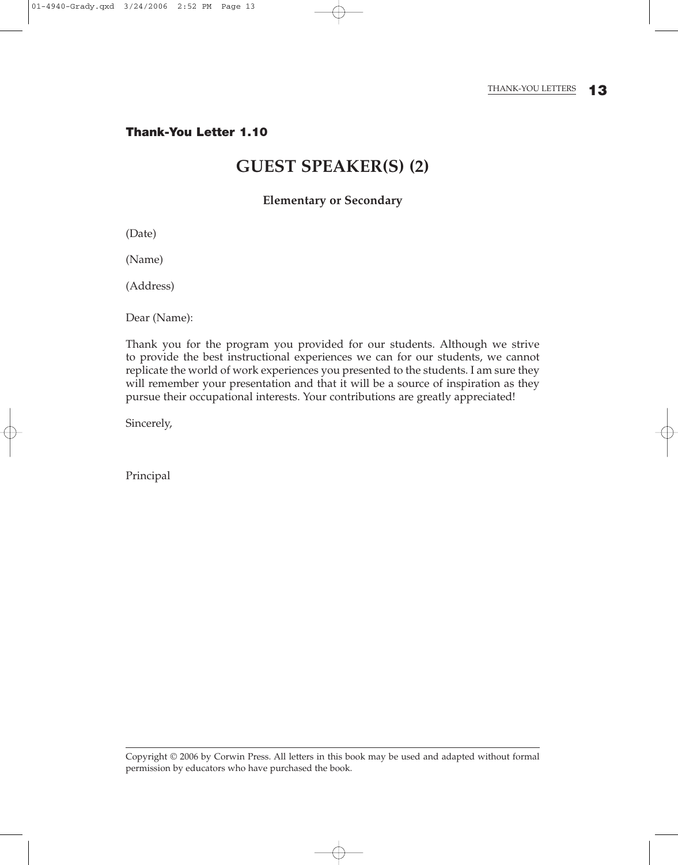#### THANK-YOU LETTERS **13**

**Thank-You Letter 1.10**

# **GUEST SPEAKER(S) (2)**

#### **Elementary or Secondary**

(Date)

(Name)

(Address)

Dear (Name):

Thank you for the program you provided for our students. Although we strive to provide the best instructional experiences we can for our students, we cannot replicate the world of work experiences you presented to the students. I am sure they will remember your presentation and that it will be a source of inspiration as they pursue their occupational interests. Your contributions are greatly appreciated!

Sincerely,

Principal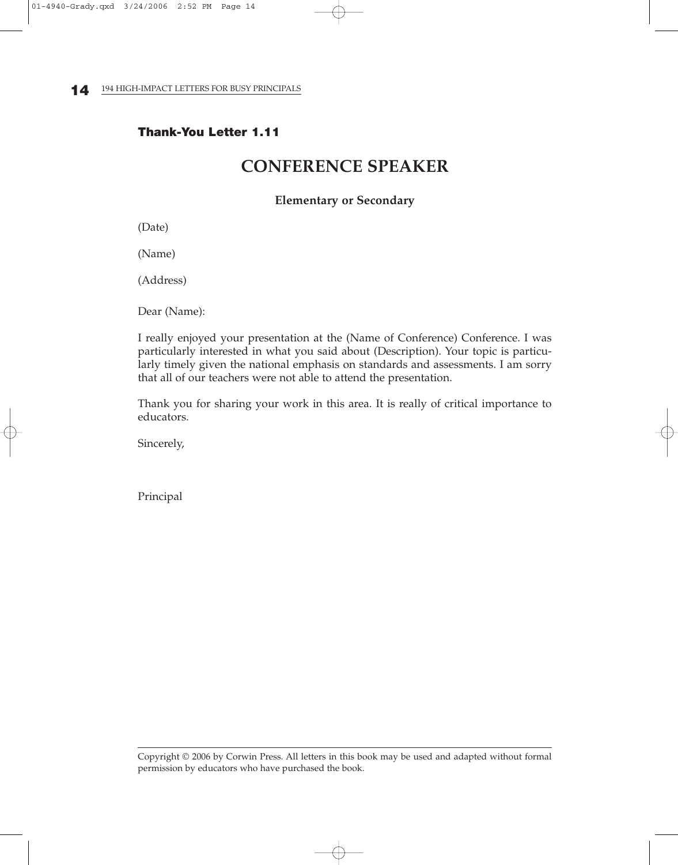#### **Thank-You Letter 1.11**

# **CONFERENCE SPEAKER**

#### **Elementary or Secondary**

(Date)

(Name)

(Address)

Dear (Name):

I really enjoyed your presentation at the (Name of Conference) Conference. I was particularly interested in what you said about (Description). Your topic is particularly timely given the national emphasis on standards and assessments. I am sorry that all of our teachers were not able to attend the presentation.

Thank you for sharing your work in this area. It is really of critical importance to educators.

Sincerely,

Principal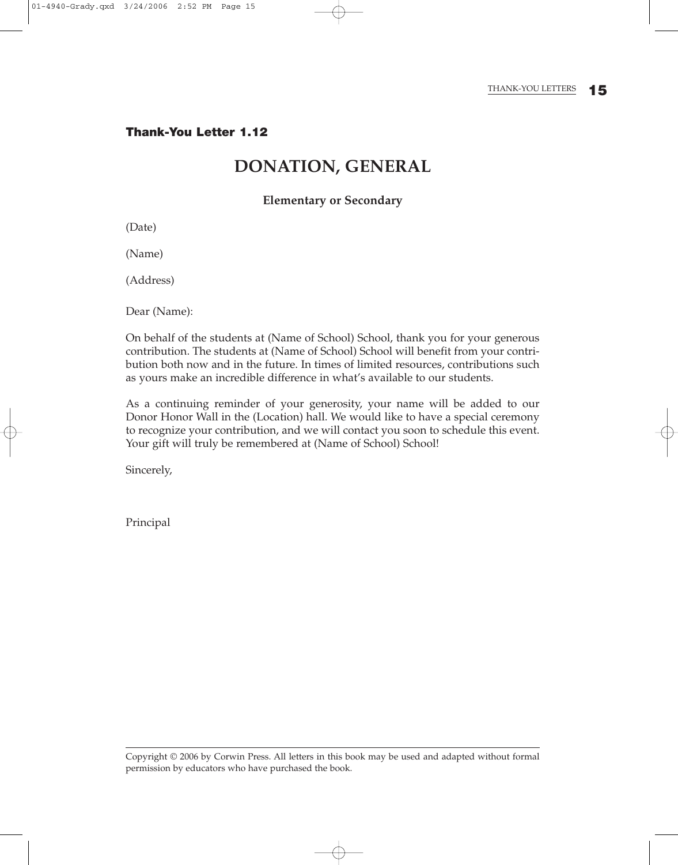## **DONATION, GENERAL**

#### **Elementary or Secondary**

(Date)

(Name)

(Address)

Dear (Name):

On behalf of the students at (Name of School) School, thank you for your generous contribution. The students at (Name of School) School will benefit from your contribution both now and in the future. In times of limited resources, contributions such as yours make an incredible difference in what's available to our students.

As a continuing reminder of your generosity, your name will be added to our Donor Honor Wall in the (Location) hall. We would like to have a special ceremony to recognize your contribution, and we will contact you soon to schedule this event. Your gift will truly be remembered at (Name of School) School!

Sincerely,

Principal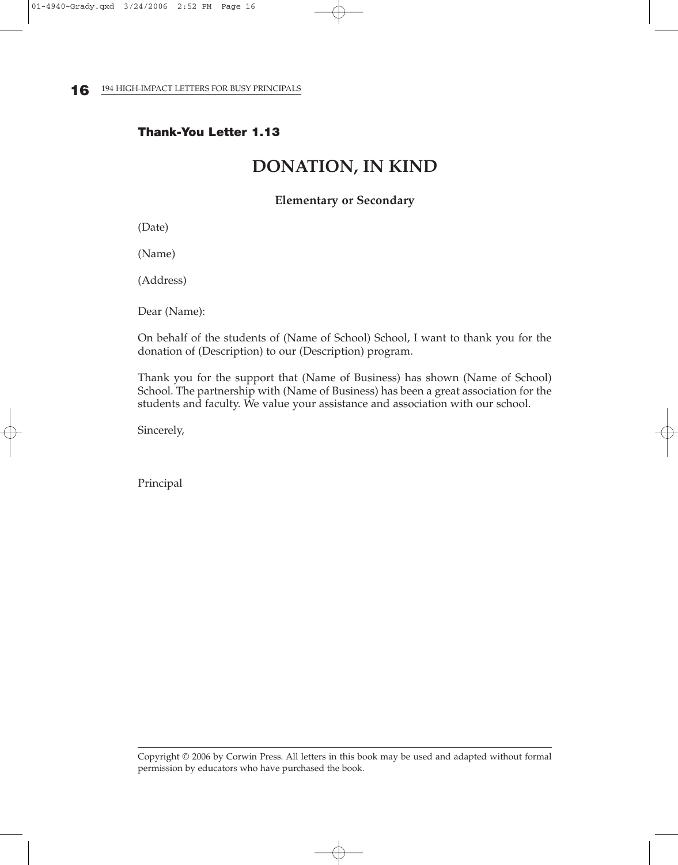#### **Thank-You Letter 1.13**

# **DONATION, IN KIND**

#### **Elementary or Secondary**

(Date)

(Name)

(Address)

Dear (Name):

On behalf of the students of (Name of School) School, I want to thank you for the donation of (Description) to our (Description) program.

Thank you for the support that (Name of Business) has shown (Name of School) School. The partnership with (Name of Business) has been a great association for the students and faculty. We value your assistance and association with our school.

Sincerely,

Principal